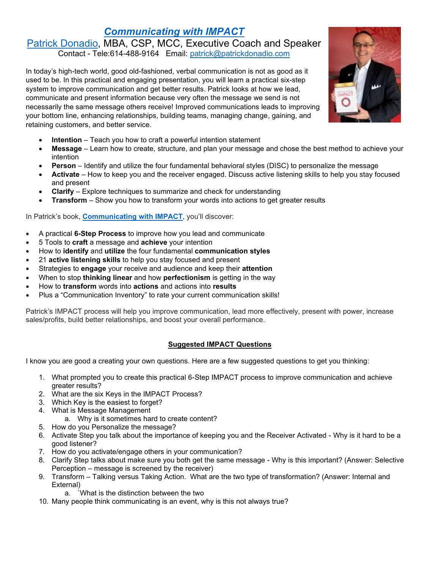# *[Communicating with IMPACT](https://www.patrickdonadio.com/keynotes/)*

### [Patrick Donadio,](https://www.patrickdonadio.com/about/) MBA, CSP, MCC, Executive Coach and Speaker Contact - Tele:614-488-9164 Email: [patrick@patrickdonadio.com](mailto:patrick@patrickdonadio.com)

In today's high-tech world, good old-fashioned, verbal communication is not as good as it used to be. In this practical and engaging presentation, you will learn a practical six-step system to improve communication and get better results. Patrick looks at how we lead, communicate and present information because very often the message we send is not necessarily the same message others receive! Improved communications leads to improving your bottom line, enhancing relationships, building teams, managing change, gaining, and retaining customers, and better service.

- **Intention** Teach you how to craft a powerful intention statement
- **Message** Learn how to create, structure, and plan your message and chose the best method to achieve your intention
- **Person** Identify and utilize the four fundamental behavioral styles (DISC) to personalize the message
- **Activate** How to keep you and the receiver engaged. Discuss active listening skills to help you stay focused and present
- **Clarify** Explore techniques to summarize and check for understanding
- **Transform** Show you how to transform your words into actions to get greater results

In Patrick's book, **[Communicating](https://www.patrickdonadio.com/product/communicating-with-impact/) with IMPACT**, you'll discover:

- A practical **6-Step Process** to improve how you lead and communicate
- 5 Tools to **craft** a message and **achieve** your intention
- How to **identify** and **utilize** the four fundamental **communication styles**
- 21 **active listening skills** to help you stay focused and present
- Strategies to **engage** your receive and audience and keep their **attention**
- When to stop **thinking linear** and how **perfectionism** is getting in the way
- How to **transform** words into **actions** and actions into **results**
- Plus a "Communication Inventory" to rate your current communication skills!

Patrick's IMPACT process will help you improve communication, lead more effectively, present with power, increase sales/profits, build better relationships, and boost your overall performance.

## **Suggested IMPACT Questions**

I know you are good a creating your own questions. Here are a few suggested questions to get you thinking:

- 1. What prompted you to create this practical 6-Step IMPACT process to improve communication and achieve greater results?
- 2. What are the six Keys in the IMPACT Process?
- 3. Which Key is the easiest to forget?
- 4. What is Message Management
	- a. Why is it sometimes hard to create content?
- 5. How do you Personalize the message?
- 6. Activate Step you talk about the importance of keeping you and the Receiver Activated Why is it hard to be a good listener?
- 7. How do you activate/engage others in your communication?
- 8. Clarify Step talks about make sure you both get the same message Why is this important? (Answer: Selective Perception – message is screened by the receiver)
- 9. Transform Talking versus Taking Action. What are the two type of transformation? (Answer: Internal and External)
	- a. `What is the distinction between the two
- 10. Many people think communicating is an event, why is this not always true?

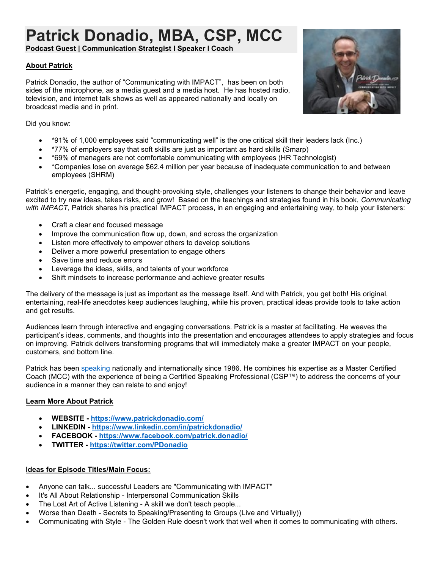# **Patrick Donadio, MBA, CSP, MCC**

**Podcast Guest | Communication Strategist I Speaker I Coach**

#### **About Patrick**

Patrick Donadio, the author of "Communicating with IMPACT", has been on both sides of the microphone, as a media guest and a media host. He has hosted radio, television, and internet talk shows as well as appeared nationally and locally on broadcast media and in print.



Did you know:

- \*91% of 1,000 employees said "communicating well" is the one critical skill their leaders lack (Inc.)
- \*77% of employers say that soft skills are just as important as hard skills (Smarp)
- \*69% of managers are not comfortable communicating with employees (HR Technologist)
- \*Companies lose on average \$62.4 million per year because of inadequate communication to and between employees (SHRM)

Patrick's energetic, engaging, and thought-provoking style, challenges your listeners to change their behavior and leave excited to try new ideas, takes risks, and grow! Based on the teachings and strategies found in his book, *Communicating with IMPACT*, Patrick shares his practical IMPACT process, in an engaging and entertaining way, to help your listeners:

- Craft a clear and focused message
- Improve the communication flow up, down, and across the organization
- Listen more effectively to empower others to develop solutions
- Deliver a more powerful presentation to engage others
- Save time and reduce errors
- Leverage the ideas, skills, and talents of your workforce
- Shift mindsets to increase performance and achieve greater results

The delivery of the message is just as important as the message itself. And with Patrick, you get both! His original, entertaining, real-life anecdotes keep audiences laughing, while his proven, practical ideas provide tools to take action and get results.

Audiences learn through interactive and engaging conversations. Patrick is a master at facilitating. He weaves the participant's ideas, comments, and thoughts into the presentation and encourages attendees to apply strategies and focus on improving. Patrick delivers transforming programs that will immediately make a greater IMPACT on your people, customers, and bottom line.

Patrick has been [speaking](https://www.patrickdonadio.com/speaking/) nationally and internationally since 1986. He combines his expertise as a Master Certified Coach (MCC) with the experience of being a Certified Speaking Professional (CSP™) to address the concerns of your audience in a manner they can relate to and enjoy!

#### **Learn More About Patrick**

- **WEBSITE - <https://www.patrickdonadio.com/>**
- **LINKEDIN - <https://www.linkedin.com/in/patrickdonadio/>**
- **FACEBOOK - <https://www.facebook.com/patrick.donadio/>**
- **TWITTER - <https://twitter.com/PDonadio>**

#### **Ideas for Episode Titles/Main Focus:**

- Anyone can talk... successful Leaders are "Communicating with IMPACT"
- It's All About Relationship Interpersonal Communication Skills
- The Lost Art of Active Listening A skill we don't teach people...
- Worse than Death Secrets to Speaking/Presenting to Groups (Live and Virtually))
- Communicating with Style The Golden Rule doesn't work that well when it comes to communicating with others.